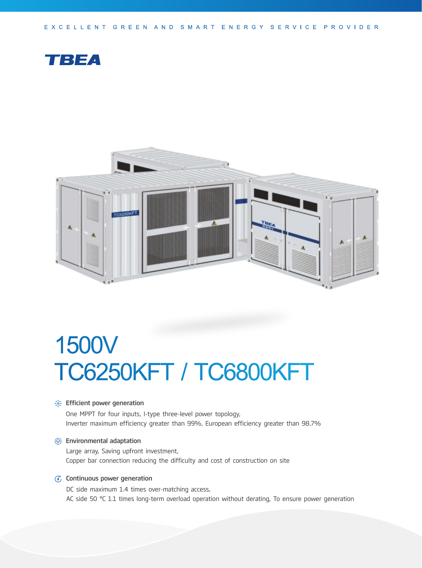EXCELLENT GREEN AND SMART ENERGY SERVICE PROVIDER





# 1500V TC6250KFT / TC6800KFT

#### **Section** Financeurier generation

One MPPT for four inputs, I-type three-level power topology, Inverter maximum efficiency greater than 99%, European efficiency greater than 98.7%

#### Environmental adaptation

Large array, Saving upfront investment, Copper bar connection reducing the difficulty and cost of construction on site

#### $G$  Continuous power generation

DC side maximum 1.4 times over-matching access, AC side 50 °C 1.1 times long-term overload operation without derating, To ensure power generation